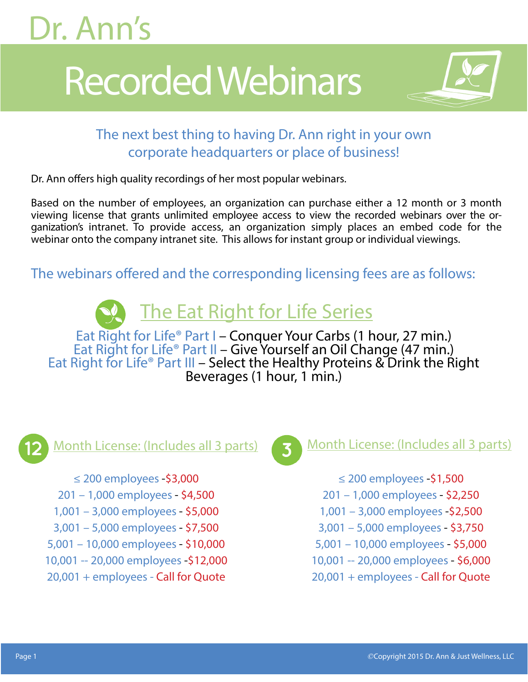# Dr. Ann's

# Recorded Webinars



## The next best thing to having Dr. Ann right in your own corporate headquarters or place of business!

Dr. Ann offers high quality recordings of her most popular webinars.

Based on the number of employees, an organization can purchase either a 12 month or 3 month viewing license that grants unlimited employee access to view the recorded webinars over the organization's intranet. To provide access, an organization simply places an embed code for the webinar onto the company intranet site. This allows for instant group or individual viewings.

The webinars offered and the corresponding licensing fees are as follows:

## The Eat Right for Life Series

Eat Right for Life® Part I – Conquer Your Carbs (1 hour, 27 min.)<br>Eat Right for Life® Part II – Give Yourself an Oil Change (47 min.)<br>Eat Right for Life® Part III – Select the Healthy Proteins & Drink the Right Beverages (1 hour, 1 min.)



≤ 200 employees -\$3,000 201 – 1,000 employees - \$4,500 1,001 – 3,000 employees - \$5,000 3,001 – 5,000 employees - \$7,500 5,001 – 10,000 employees - \$10,000 10,001 -- 20,000 employees -\$12,000 20,001 + employees - Call for Quote



### Month License: (Includes all 3 parts) **Month License: (Includes all 3 parts)**

- ≤ 200 employees -\$1,500
- 201 1,000 employees \$2,250
- 1,001 3,000 employees -\$2,500
- 3,001 5,000 employees \$3,750
- 5,001 10,000 employees \$5,000
- 10,001 -- 20,000 employees \$6,000
- 20,001 + employees Call for Quote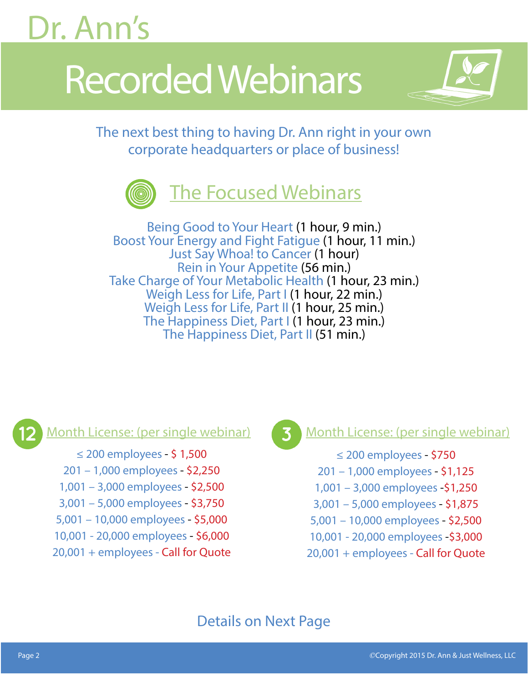# Dr. Ann's

# Recorded Webinars



The next best thing to having Dr. Ann right in your own corporate headquarters or place of business!



Being Good to Your Heart (1 hour, 9 min.) Boost Your Energy and Fight Fatigue (1 hour, 11 min.) Just Say Whoa! to Cancer (1 hour) Rein in Your Appetite (56 min.) Take Charge of Your Metabolic Health (1 hour, 23 min.) Weigh Less for Life, Part I (1 hour, 22 min.) Weigh Less for Life, Part II (1 hour, 25 min.) The Happiness Diet, Part I (1 hour, 23 min.) The Happiness Diet, Part II (51 min.)



≤ 200 employees - \$ 1,500 201 – 1,000 employees - \$2,250 1,001 – 3,000 employees - \$2,500 3,001 – 5,000 employees - \$3,750 5,001 – 10,000 employees - \$5,000 10,001 - 20,000 employees - \$6,000 20,001 + employees - Call for Quote

### Month License: (per single webinar) **Month License: (per single webinar)**

≤ 200 employees - \$750 201 – 1,000 employees - \$1,125 1,001 – 3,000 employees -\$1,250 3,001 – 5,000 employees - \$1,875 5,001 – 10,000 employees - \$2,500 10,001 - 20,000 employees -\$3,000 20,001 + employees - Call for Quote

## Details on Next Page